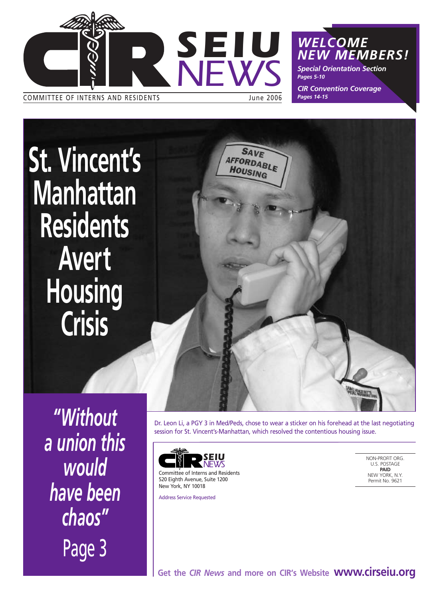

COMMITTEE OF INTERNS AND RESIDENTS **State State State State State 3006** 

*WELCOME NEW MEMBERS!*

*Special Orientation Section Pages 5-10*

*CIR Convention Coverage Pages 14-15*

**St. Vincent's Manhattan Residents Avert Housing Crisis**



*"Without a union this* would *have been chaos"* Page 3

Dr. Leon Li, a PGY 3 in Med/Peds, chose to wear a sticker on his forehead at the last negotiating session for St. Vincent's-Manhattan, which resolved the contentious housing issue.



Committee of Interns and Residents 520 Eighth Avenue, Suite 1200 New York, NY 10018

Address Service Requested

NON-PROFIT ORG. U.S. POSTAGE **PAID** NEW YORK, N.Y. Permit No. 9621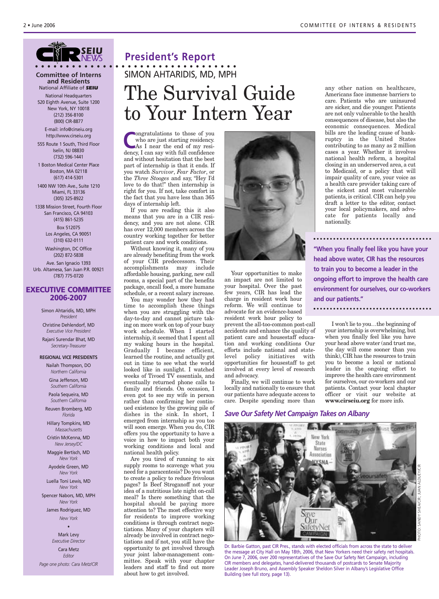### *SEIU NEWS*

#### **Committee of Interns and Residents** National Affiliate of *SEIU*

National Headquarters 520 Eighth Avenue, Suite 1200 New York, NY 10018 (212) 356-8100 (800) CIR-8877

E-mail: info@cirseiu.org http://www.cirseiu.org

555 Route 1 South, Third Floor Iselin, NJ 08830 (732) 596-1441

1 Boston Medical Center Place Boston, MA 02118 (617) 414-5301

1400 NW 10th Ave., Suite 1210 Miami, FL 33136 (305) 325-8922

1338 Mission Street, Fourth Floor San Francisco, CA 94103 (415) 861-5235 Box 512075 Los Angeles, CA 90051 (310) 632-0111

> Washington, DC Office (202) 872-5838

Ave. San Ignacio 1393 Urb. Altamesa, San Juan P.R. 00921 (787) 775-0720

#### **EXECUTIVE COMMITTEE 2006-2007**

Simon Ahtaridis, MD, MPH *President* Christine Dehlendorf, MD *Executive Vice President* Rajani Surendar Bhat, MD

#### *Secretary-Treasurer* **REGIONAL VICE PRESIDENTS**

Nailah Thompson, DO *Northern California*

Gina Jefferson, MD *Southern California*

Paola Sequeira, MD *Southern California*

Reuven Bromberg, MD *Florida*

Hillary Tompkins, MD *Massachusetts*

Cristin McKenna, MD *New Jersey/DC*

Maggie Bertisch, MD *New York*

Ayodele Green, MD *New York*

Luella Toni Lewis, MD *New York*

Spencer Nabors, MD, MPH *New York*

James Rodriguez, MD *New York*

> • Mark Levy *Executive Director*

Cara Metz *Editor Page one photo: Cara Metz/CIR*

### **President's Report** The Survival Guide to Your Intern Year **• • • • • • • • • • • • • • • • • • • • • • • • • • • • • • • • •** SIMON AHTARIDIS, MD, MPH

**Congratulations to those of you<br>who are just starting residency.<br>As I near the end of my residence** who are just starting residency. As I near the end of my residency, I can say with full confidence and without hesitation that the best part of internship is that it ends. If you watch *Survivor*, *Fear Factor*, or the *Three Stooges* and say, "Hey I'd love to do that!" then internship is right for you. If not, take comfort in the fact that you have less than 365 days of internship left.

If you are reading this it also means that you are in a CIR residency, and you are not alone. CIR has over 12,000 members across the country working together for better patient care and work conditions.

Without knowing it, many of you are already benefiting from the work of your CIR predecessors. Their accomplishments may include affordable housing, parking, new call rooms, a special part of the benefits package, oncall food, a more humane schedule, or a recent salary increase. You may wonder how they had time to accomplish these things when you are struggling with the day-to-day and cannot picture taking on more work on top of your busy work schedule. When I started internship, it seemed that I spent all my waking hours in the hospital. Gradually I became efficient, learned the routine, and actually got out in time to see what the world looked like in sunlight. I watched weeks of Tivoed TV essentials, and eventually returned phone calls to family and friends. On occasion, I even got to see my wife in person rather than confirming her continued existence by the growing pile of dishes in the sink. In short, I emerged from internship as you too will soon emerge. When you do, CIR offers you the opportunity to have a voice in how to impact both your working conditions and local and national health policy.

Are you tired of running to six supply rooms to scavenge what you need for a paracentesis? Do you want to create a policy to reduce frivolous pages? Is Beef Stroganoff not your idea of a nutritious late night on-call meal? Is there something that the hospital should be paying more attention to? The most effective way for residents to improve working conditions is through contract negotiations. Many of your chapters will already be involved in contract negotiations and if not, you still have the opportunity to get involved through your joint labor-management committee. Speak with your chapter leaders and staff to find out more about how to get involved.



Your opportunities to make an impact are not limited to your hospital. Over the past few years, CIR has lead the charge in resident work hour reform. We will continue to advocate for an evidence-based resident work hour policy to

prevent the all-too-common post-call accidents and enhance the quality of patient care and housestaff education and working conditions Our efforts include national and statelevel policy initiatives with opportunities for housestaff to get involved at every level of research and advocacy.

Finally, we will continue to work locally and nationally to ensure that our patients have adequate access to care. Despite spending more than

#### *Save Our Safety Net Campaign Takes on Albany*



any other nation on healthcare, Americans face immense barriers to care. Patients who are uninsured are sicker, and die younger. Patients are not only vulnerable to the health consequences of disease, but also the economic consequences. Medical bills are the leading cause of bankruptcy in the United States contributing to as many as 2 million cases a year. Whether it involves national health reform, a hospital closing in an underserved area, a cut to Medicaid, or a policy that will impair quality of care, your voice as a health care provider taking care of the sickest and most vulnerable patients, is critical. CIR can help you draft a letter to the editor, contact your local policymakers, and advocate for patients locally and nationally.

**"When you finally feel like you have your head above water, CIR has the resources to train you to become a leader in the ongoing effort to improve the health care environment for ourselves, our co-workers and our patients."** 

I won't lie to you…the beginning of your internship is overwhelming, but when you finally feel like you have your head above water (and trust me, the day will come sooner than you think), CIR has the resources to train you to become a local or national leader in the ongoing effort to improve the health care environment for ourselves, our co-workers and our patients. Contact your local chapter officer or visit our website at **www.cirseiu.org** for more info.

Dr. Barbie Gatton, past CIR Pres., stands with elected officials from across the state to deliver the message at City Hall on May 18th, 2006, that New Yorkers need their safety net hospitals. On June 7, 2006, over 200 representatives of the Save Our Safety Net Campaign, including CIR members and delegates, hand-delivered thousands of postcards to Senate Majority Leader Joseph Bruno, and Assembly Speaker Sheldon Silver in Albany's Legislative Office Building (see full story, page 13).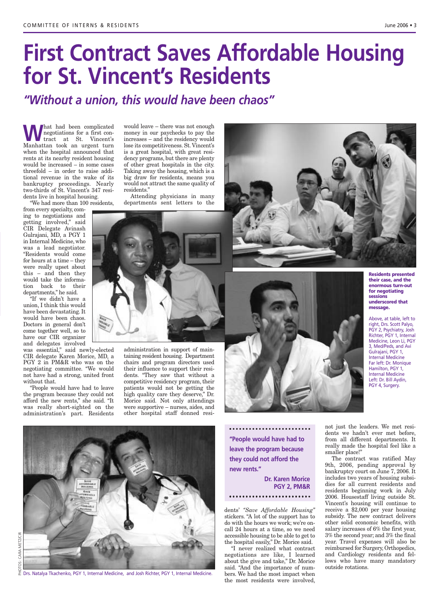# **First Contract Saves Affordable Housing for St. Vincent's Residents**

*"Without a union, this would have been chaos"*

**What had been complicated**<br>tract at St. Vincent's<br>Manhetten took an urgent turn negotiations for a first con-Manhattan took an urgent turn when the hospital announced that rents at its nearby resident housing would be increased – in some cases threefold – in order to raise additional revenue in the wake of its bankruptcy proceedings. Nearly two-thirds of St. Vincent's 347 residents live in hospital housing.

"We had more than 100 residents,

from every specialty, coming to negotiations and getting involved," said CIR Delegate Avinash Gulrajani, MD, a PGY 1 in Internal Medicine, who was a lead negotiator. "Residents would come for hours at a time – they were really upset about this – and then they would take the information back to their departments," he said.

"If we didn't have a union, I think this would have been devastating. It would have been chaos. Doctors in general don't come together well, so to have our CIR organizer and delegates involved

was essential," said newly-elected CIR delegate Karen Morice, MD, a PGY 2 in PM&R who was on the negotiating committee. "We would not have had a strong, united front without that.

"People would have had to leave the program because they could not afford the new rents," she said. "It was really short-sighted on the administration's part. Residents

would leave – there was not enough money in our paychecks to pay the increases – and the residency would lose its competitiveness. St. Vincent's is a great hospital, with great residency programs, but there are plenty of other great hospitals in the city. Taking away the housing, which is a big draw for residents, means you would not attract the same quality of residents."

Attending physicians in many departments sent letters to the



administration in support of maintaining resident housing. Department chairs and program directors used their influence to support their residents. "They saw that without a competitive residency program, their patients would not be getting the high quality care they deserve," Dr. Morice said. Not only attendings were supportive – nurses, aides, and other hospital staff donned resi-



**"People would have had to leave the program because they could not afford the new rents."** 

**Dr. Karen Morice PGY 2, PM&R** 

dents' *"Save Affordable Housing"* stickers. "A lot of the support has to do with the hours we work; we're oncall 24 hours at a time, so we need accessible housing to be able to get to the hospital easily," Dr. Morice said.

"I never realized what contract negotiations are like, I learned about the give and take," Dr. Morice said. "And the importance of numbers. We had the most impact when the most residents were involved,

**Residents presented their case, and the enormous turn-out for negotiating sessions underscored that message.**

Above, at table, left to right, Drs. Scott Palyo, PGY 2, Psychiatry, Josh Richter, PGY 1, Internal Medicine, Leon Li, PGY 3, Med/Peds, and Avi Gulrajani, PGY 1, Internal Medicine Far left: Dr. Monique Hamilton, PGY 1, Internal Medicine Left: Dr. Bill Aydin, PGY 4, Surgery.

not just the leaders. We met residents we hadn't ever met before, from all different departments. It really made the hospital feel like a smaller place!"

The contract was ratified May 9th, 2006, pending approval by bankruptcy court on June 7, 2006. It includes two years of housing subsidies for all current residents and residents beginning work in July 2006. Housestaff living outside St. Vincent's housing will continue to receive a \$2,000 per year housing subsidy. The new contract delivers other solid economic benefits, with salary increases of 6% the first year, 3% the second year; and 3% the final year. Travel expenses will also be reimbursed for Surgery, Orthopedics, and Cardiology residents and fellows who have many mandatory outside rotations.

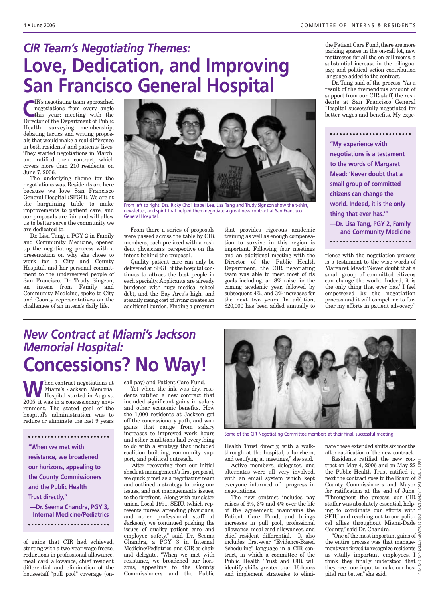### *CIR Team's Negotiating Themes:*  **Love, Dedication, and Improving San Francisco General Hospital**

**C**IR's negotiating team approached<br>
this year: meeting with the<br>
Director of the Department of Bublic negotiations from every angle Director of the Department of Public Health, surveying membership, debating tactics and writing proposals that would make a real difference in both residents' and patients' lives. They started negotiations in March, and ratified their contract, which covers more than 210 residents, on June 7, 2006.

The underlying theme for the negotiations was: Residents are here because we love San Francisco General Hospital (SFGH). We are at the bargaining table to make improvements to patient care, and our proposals are fair and will allow us to better serve the community we are dedicated to.

Dr. Lisa Tang, a PGY 2 in Family and Community Medicine, opened up the negotiating process with a presentation on why she chose to work for a City and County Hospital, and her personal commitment to the underserved people of San Francisco. Dr. Trudy Singzon, an intern from Family and Community Medicine, spoke to City and County representatives on the challenges of an intern's daily life.



From left to right: Drs. Ricky Choi, Isabel Lee, Lisa Tang and Trudy Signzon show the t-shirt, newsletter, and spirit that helped them negotiate a great new contract at San Francisco General Hospital.

From there a series of proposals were passed across the table by CIR members, each prefaced with a resident physician's perspective on the intent behind the proposal.

Quality patient care can only be delivered at SFGH if the hospital continues to attract the best people in each specialty. Applicants are already burdened with huge medical school debt, and the Bay Area's high, and steadily rising cost of living creates an additional burden. Finding a program

that provides rigorous academic training as well as enough compensation to survive in this region is important. Following four meetings and an additional meeting with the Director of the Public Health Department, the CIR negotiating team was able to meet most of its goals including: an 8% raise for the coming academic year, followed by subsequent 4%, and 3% increases for the next two years. In addition, \$20,000 has been added annually to the Patient Care Fund, there are more parking spaces in the on-call lot, new mattresses for all the on-call rooms, a substantial increase in the bilingual pay, and political action contribution language added to the contract.

Dr. Tang said of the process, "As a result of the tremendous amount of support from our CIR staff, the residents at San Francisco General Hospital successfully negotiated for better wages and benefits. My expe-

**"My experience with negotiations is a testament to the words of Margaret Mead: 'Never doubt that a small group of committed citizens can change the world. Indeed, it is the only thing that ever has.''' —Dr. Lisa Tang, PGY 2, Family and Community Medicine** 

rience with the negotiation process is a testament to the wise words of Margaret Mead: 'Never doubt that a small group of committed citizens can change the world. Indeed, it is the only thing that ever has.' I feel empowered by the negotiation process and it will compel me to further my efforts in patient advocacy."

### *New Contract at Miami's Jackson Memorial Hospital:* **Concessions? No Way!**

**WA** hen contract negotiations at<br>
Hospital started in August,<br>  $\frac{2005}{1000}$  it was in a concessionary only Miami's Jackson Memorial 2005, it was in a concessionary environment. The stated goal of the hospital's administration was to reduce or eliminate the last 9 years

**"When we met with resistance, we broadened our horizons, appealing to the County Commissioners and the Public Health Trust directly," —Dr. Seema Chandra, PGY 3, Internal Medicine/Pediatrics**

of gains that CIR had achieved, starting with a two-year wage freeze, reductions in professional allowance, meal card allowance, chief resident differential and elimination of the housestaff "pull pool" coverage (oncall pay) and Patient Care Fund.

Yet when the ink was dry, residents ratified a new contract that included significant gains in salary and other economic benefits. How the 1,000 residents at Jackson got off the concessionary path, and won gains that range from salary increases to improved work hours and other conditions had everything to do with a strategy that included coalition building, community support, and political outreach.

"After recovering from our initial shock at management's first proposal, we quickly met as a negotiating team and outlined a strategy to bring our issues, and not management's issues, to the forefront. Along with our sister union, Local 1991, SEIU, (which represents nurses, attending physicians, and other professional staff at Jackson), we continued pushing the issues of quality patient care and employee safety," said Dr. Seema Chandra, a PGY 3 in Internal Medicine/Pediatrics, and CIR co-chair and delegate. "When we met with resistance, we broadened our horizons, appealing to the County Commissioners and the Public



Some of the CIR Negotiating Committee members at their final, successful meeting.

Health Trust directly, with a walkthrough at the hospital, a luncheon, and testifying at meetings," she said.

Active members, delegates, and alternates were all very involved, with an email system which kept everyone informed of progress in negotiations.

The new contract includes pay raises of 3%, 3% and 4% over the life of the agreement; maintains the Patient Care Fund, and brings increases in pull pool, professional allowance, meal card allowances, and chief resident differential. It also includes first-ever "Evidence-Based Scheduling" language in a CIR contract, in which a committee of the Public Health Trust and CIR will identify shifts greater than 16-hours and implement strategies to eliminate these extended shifts six months after ratification of the new contract.

PHOTO: (TOP) LKELLY GRAY/CIR; (BOTTOM) ANDY PRATT/SEIU L.1991 Residents ratified the new contract on May 4, 2006 and on May 22  $\frac{6}{5}$ the Public Health Trust ratified it; next the contract goes to the Board of County Commissioners and Mayor  $\frac{1}{2}$ <br>for ratification at the end of June for ratification at the end of June. "Throughout the process, our CIR $\frac{5}{5}$ staffer was absolutely essential, helping to coordinate our efforts with SEIU and reaching out to our political allies throughout Miami-Dade County," said Dr. Chandra.

unty, said Dr. Unanura.<br>"One of the most important gains of  $\frac{5}{5}$ the entire process was that management was forced to recognize residents as vitally important employees. I  $\hat{e}$ think they finally understood that they need our input to make our hos- $\frac{8}{9}$ pital run better," she said.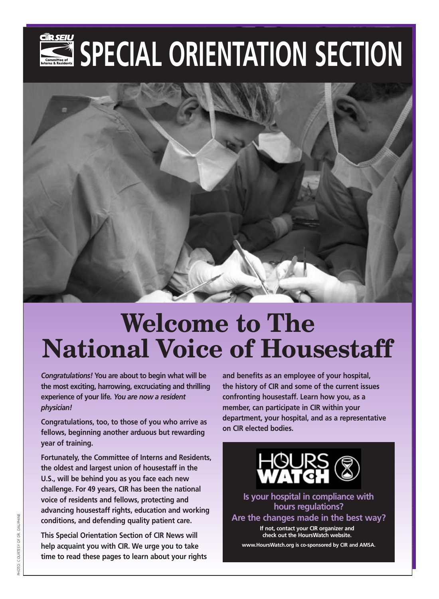# SPECIAL ORIENTATION SECTION



# **Welcome to The National Voice of Housestaff**

*Congratulations!* **You are about to begin what will be the most exciting, harrowing, excruciating and thrilling experience of your life***. You are now a resident physician!* 

**Congratulations, too, to those of you who arrive as fellows, beginning another arduous but rewarding year of training.**

**Fortunately, the Committee of Interns and Residents, the oldest and largest union of housestaff in the U.S., will be behind you as you face each new challenge. For 49 years, CIR has been the national voice of residents and fellows, protecting and advancing housestaff rights, education and working conditions, and defending quality patient care.**

**This Special Orientation Section of CIR News will help acquaint you with CIR. We urge you to take time to read these pages to learn about your rights** **and benefits as an employee of your hospital, the history of CIR and some of the current issues confronting housestaff. Learn how you, as a member, can participate in CIR within your department, your hospital, and as a representative on CIR elected bodies.**



**Is your hospital in compliance with hours regulations?**

**Are the changes made in the best way?** 

**If not, contact your CIR organizer and check out the HoursWatch website.**

**www.HoursWatch.org is co-sponsored by CIR and AMSA.**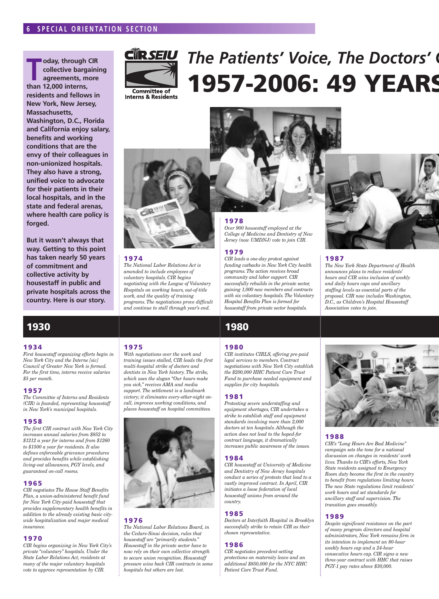**TAN** *T* **oday, through CIR<br>
collective bargaini<br>
agreements, more<br>
than 13,000 interns collective bargaining agreements, more than 12,000 interns, residents and fellows in New York, New Jersey, Massachusetts, Washington, D.C., Florida and California enjoy salary, benefits and working conditions that are the envy of their colleagues in non-unionized hospitals. They also have a strong, unified voice to advocate for their patients in their local hospitals, and in the state and federal arenas, where health care policy is forged.**

**But it wasn't always that way. Getting to this point has taken nearly 50 years of commitment and collective activity by housestaff in public and private hospitals across the country. Here is our story.**

### **1930 1980 1990 2000**

#### **1934**

*First housestaff organizing efforts begin in New York City and the Interne [sic] Council of Greater New York is formed. For the first time, interns receive salaries \$5 per month.*

#### **1957**

*The Committee of Interns and Residents (CIR) is founded, representing housestaff in New York's municipal hospitals.*

#### **1958**

*The first CIR contract with New York City increases annual salaries from \$852 to \$1212 a year for interns and from \$1260 to \$1500 a year for residents. It also defines enforceable grievance procedures and provides benefits while establishing living-out allowances, PGY levels, and guaranteed on-call rooms.*

#### **1965**

*CIR negotiates The House Staff Benefits Plan, a union-administered benefit fund for New York City-paid housestaff that provides supplementary health benefits in addition to the already existing basic citywide hospitalization and major medical insurance.*

#### **1970**

*CIR begins organizing in New York City's private "voluntary" hospitals. Under the State Labor Relations Act, residents at many of the major voluntary hospitals vote to approve representation by CIR.*



# The Patients' Voice, The Doctors' **1957-2006: 49 YEARS**





#### **1974**

*The National Labor Relations Act is amended to include employees of voluntary hospitals. CIR begins negotiating with the League of Voluntary Hospitals on working hours, out-of-title work, and the quality of training programs. The negotiations prove difficult and continue to stall through year's end.*

#### **1975**

*With negotiations over the work and training issues stalled, CIR leads the first multi-hospital strike of doctors and dentists in New York history. The strike, which uses the slogan "Our hours make you sick," receives AMA and media support. The settlement is a landmark victory; it eliminates every-other-night oncall, improves working conditions, and places housestaff on hospital committees.*



#### **1976**

*The National Labor Relations Board, in the Cedars-Sinai decision, rules that housestaff are "primarily students." Housestaff in the private sector have to now rely on their own collective strength to secure union recognition. Housestaff pressure wins back CIR contracts in some hospitals but others are lost.*

#### **1978**

*Over 900 housestaff employed at the College of Medicine and Dentistry of New Jersey (now UMDNJ) vote to join CIR.*

#### **1979**

*CIR leads a one-day protest against funding cutbacks in New York City health programs. The action receives broad community and labor support. CIR successfully rebuilds in the private sector, gaining 1,000 new members and contracts with six voluntary hospitals. The Voluntary Hospital Benefits Plan is formed for housestaff from private sector hospitals.*

#### **1980**

*CIR institutes CIRLS, offering pre-paid legal services to members. Contract negotiations with New York City establish the \$200,000 HHC Patient Care Trust Fund to purchase needed equipment and supplies for city hospitals.*

#### **1981**

*Protesting severe understaffing and equipment shortages, CIR undertakes a strike to establish staff and equipment standards involving more than 2,000 doctors at ten hospitals. Although the action does not lead to the hoped-for contract language, it dramatically increases public awareness of the issues.*

#### **1984**

*CIR housestaff at University of Medicine and Dentistry of New Jersey hospitals conduct a series of protests that lead to a vastly improved contract. In April, CIR initiates a loose federation of local housestaff unions from around the country.*

#### **1985**

*Doctors at Interfaith Hospital in Brooklyn successfully strike to retain CIR as their chosen representative.*

#### **1986**

*CIR negotiates precedent-setting protections on maternity leave and an additional \$850,000 for the NYC HHC Patient Care Trust Fund.*



#### **1987**

*The New York State Department of Health announces plans to reduce residents' hours and CIR wins inclusion of weekly and daily hours caps and ancillary staffing levels as essential parts of the proposal. CIR now includes Washington, D.C., as Children's Hospital Housestaff Association votes to join.*



#### **1988**

*CIR's "Long Hours Are Bad Medicine" campaign sets the tone for a national discussion on changes in residents' work lives. Thanks to CIR's efforts, New York State residents assigned to Emergency Room duty become the first in the country to benefit from regulations limiting hours. The new State regulations limit residents' work hours and set standards for ancillary staff and supervision. The transition goes smoothly.*

#### **1989**

*Despite significant resistance on the part of many program directors and hospital administrators, New York remains firm in its intention to implement an 80-hour weekly hours cap and a 24-hour consecutive hours cap. CIR signs a new three-year contract with HHC that raises PGY-1 pay rates above \$30,000.*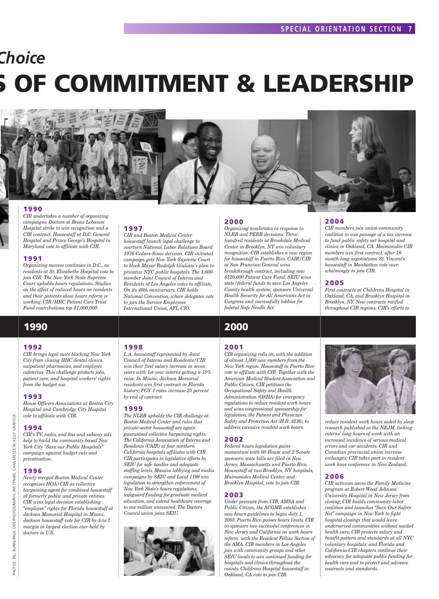# *Choice OF COMMITMENT & LEADERSHIP*



#### **1990**

*CIR undertakes a number of organizing campaigns. Doctors at Bronx Lebanon Hospital strike to win recognition and a CIR contract. Housestaff at D.C. General Hospital and Prince George's Hospital in Maryland vote to affiliate with CIR.*

#### **1991**

*Organizing success continues in D.C., as residents at St. Elizabeths Hospital vote to join CIR. The New York State Supreme Court upholds hours regulations. Studies on the effect of reduced hours on residents and their patients show hours reform is working. CIR/HHC Patient Care Trust Fund contributions top \$1,000,000.*

### **1990 2000**

#### **1992**

*CIR brings legal suits blocking New York City from closing HHC dental clinics, outpatient pharmacies, and employee cafeterias. This challenge protects jobs, patient care, and hospital workers' rights from the budget axe.*

#### **1993**

*House Officers Associations at Boston City Hospital and Cambridge City Hospital vote to affiliate with CIR.*

#### **1994**

*CIR's TV, radio, and bus and subway ads help to build the community-based New York City "Save our Public Hospitals" campaign against budget cuts and privatization.*

#### **1996**

*Newly merged Boston Medical Center recognizes HOA/CIR as collective bargaining agent for combined housestaff at formerly public and private entities. CIR wins legal decision establishing "employee" rights for Florida housestaff at Jackson Memorial Hospital in Miami. Jackson housestaff vote for CIR by 4-to-1 margin in largest election ever held by doctors in U.S.*

#### **1997**

**1998**

**1999**

*by end of contract.*

*Council union joins SEIU.*

*CIR and Boston Medical Center housestaff launch legal challenge to overturn National Labor Relations Board 1976 Cedars-Sinai decision. CIR-initiated campaign gets New York Supreme Court to block Mayor Rudolph Giuliani's plan to privatize NYC public hospitals. The 1,600 member Joint Council of Interns and Residents of Los Angeles votes to affiliate. On its 40th anniversary, CIR holds National Convention, where delegates vote to join the Service Employees International Union, AFL-CIO.*

*L.A. housestaff represented by Joint Council of Interns and Residents/CIR win their first salary increase in seven years with 1st-year interns getting a 15% raise. In Miami, Jackson Memorial residents win first contract in Florida history; PGY 1 rates increase 25 percent*

*The NLRB upholds the CIR challenge at Boston Medical Center and rules that private-sector housestaff are again guaranteed collective bargaining rights. The California Association of Interns and Residents (CAIR) at four northern California hospitals affiliates with CIR. CIR participates in legislative efforts by SEIU for safe needles and adequate staffing levels. Massive lobbying and media campaigns by SEIU and Local 1199 win legislation to strengthen enforcement of New York State's hours regulations, safeguard funding for graduate medical education, and extend healthcare coverage to one million uninsured. The Doctors*

#### **2000**

*Organizing accelerates in response to NLRB and PERB decisions. Threehundred residents at Brookdale Medical Center in Brooklyn, NY win voluntary recognition. CIR establishes a new region for housestaff in Puerto Rico. CAIR/CIR at San Francisco General wins breakthrough contract, including new \$120,000 Patient Care Fund. SEIU wins state/federal funds to save Los Angeles County health system, sponsors Universal Health Security for All Americans Act in Congress and successfully lobbies for federal Safe Needle Act.*

#### **2001**

*CIR organizing rolls on, with the addition of almost 1,000 new members from the New York region. Housestaff in Puerto Rico vote to affiliate with CIR. Together with the American Medical Student Association and Public Citizen, CIR petitions the Occupational Safety and Health Administration (OSHA) for emergency regulations to reduce resident work hours and wins congressional sponsorship for legislation, the Patient and Physician Safety and Protection Act (H.R. 3236), to address excessive resident work hours.*

#### **2002**

*Federal hours legislation gains momentum with 60 House and 2 Senate sponsors; state bills are filed in New Jersey, Massachusetts and Puerto Rico. Housestaff at two Brooklyn, NY hospitals, Maimonides Medical Center, and Brooklyn Hospital, vote to join CIR.*

#### **2003**

*Under pressure from CIR, AMSA and Public Citizen, the ACGME establishes new hours guidelines to begin July 1, 2003. Puerto Rico passes hours limits. CIR co-sponsors two successful conferences in New Jersey and California on work hours reform with the Resident Fellow Section of the AMA. CIR members in Los Angeles join with community groups and other SEIU locals to win continued funding for hospitals and clinics throughout the county. Childrens Hospital housestaff in Oakland, CA vote to join CIR.*

#### **2004**

*CIR members join union-community coalition to win passage of a tax increase to fund public safety net hospital and clinics in Oakland, CA. Maimonides CIR members win first contract, after 18 month-long negotiations. St. Vincent's housestaff in Manhattan vote overwhelmingly to join CIR.*

#### **2005**

*First contracts at Childrens Hospital in Oakland, CA, and Brooklyn Hospital in Brooklyn, NY. New contracts ratified throughout CIR regions. CIR's efforts to*



*reduce resident work hours aided by sleep research published in the NEJM, linking interns' long hours of work with an increased incidence of serious medical errors and car accidents. CIR and Canadian provincial union increase exchanges; CIR takes part in resident work hour conference in New Zealand.*

#### **2006**

*CIR activism saves the Family Medicine program at Robert Wood Johnson University Hospital in New Jersey from closing; CIR builds community-labor coalition and launches "Save Our Safety Net" campaign in New York to fight hospital closings that would leave underserved communities without needed health care; CIR protects salary and benefit pattern and standards at all NYC voluntary hospitals; and Florida and California CIR chapters continue their advocacy for adequate public funding for health care and to protect and advance contracts and standards.*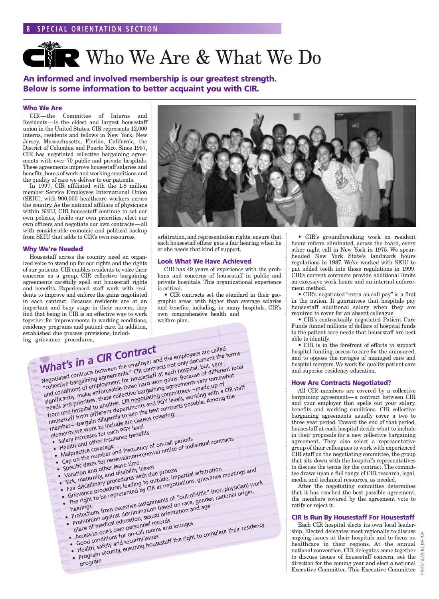# **CIP Who We Are & What We Do**

**An informed and involved membership is our greatest strength. Below is some information to better acquaint you with CIR.**

#### **Who We Are**

CIR—the Committee of Interns and Residents—is the oldest and largest housestaff union in the United States. CIR represents 12,000 interns, residents and fellows in New York, New Jersey, Massachusetts, Florida, California, the District of Columbia and Puerto Rico. Since 1957, CIR has negotiated collective bargaining agreements with over 70 public and private hospitals. These agreements improve housestaff salaries and benefits, hours of work and working conditions and the quality of care we deliver to our patients.

In 1997, CIR affiliated with the 1.8 million member Service Employees International Union (SEIU), with 900,000 healthcare workers across the country. As the national affiliate of physicians within SEIU, CIR housestaff continue to set our own policies, decide our own priorities, elect our own officers and negotiate our own contracts—all with considerable economic and political backup from SEIU that adds to CIR's own resources.

#### **Why We're Needed**

Housestaff across the country need an organized voice to stand up for our rights and the rights of our patients. CIR enables residents to voice their concerns as a group. CIR collective bargaining agreements carefully spell out housestaff rights and benefits. Experienced staff work with residents to improve and enforce the gains negotiated in each contract. Because residents are at an important and busy stage in their careers, they find that being in CIR is an effective way to work together for improvements in working conditions, residency programs and patient care. In addition, established due process provisions, including grievance procedures,



arbitration, and representation rights, ensure that each housestaff officer gets a fair hearing when he or she needs that kind of support.

#### **Look What We Have Achieved**

CIR has 49 years of experience with the problems and concerns of housestaff in public and private hospitals. This organizational experience is critical.

• CIR contracts set the standard in their geographic areas, with higher than average salaries and benefits, including, in many hospitals, CIR's own comprehensive health and welfare plan.

*What's in <sup>a</sup> CIR Contract* Negotiated contracts between the employer and the employees are called<br>"Collective bergeining accompany"," CIP contracts not anti-deciment that Negotiated contracts between the employer and the employees are called<br>"collective bargaining agreements." CIR contracts not only document the terms<br>"collective bargaining agreements." CIR contracts not begin begins but yo Conecuve paryammy agreements. Cin contracts not omy occurrent the and conditions of employment for nousestant at each mospital, but, very<br>significantly, make enforceable those hard won gains. Because of different local significantly, that employees and priorities, these collective bargaining agreements vary somewhat needs and priorities, these collective bargaining agreements vary somewhat The to another. CIR negotiating committees—made up of Housestaff from different departments and PGY levels, working with a CIR staff housestaff from different departments and PGY levels, working with a CIR staff member—bargain diligently to win the best contracts possible. Among the member—bargain diligently to win the best contracts possible. Among the elements we work to include are clauses covering: nember – Dary vork to include<br>elements we work to include Teach PGY level<br>• Salary increases for each penef lements we will react the sense its<br>• Salary increases for each consense benefits<br>• Health stice coverage a frequency  $\bullet$  Health and  $\bullet$  coverage<br> $\bullet$  Malpractice coverage Salary increases<br>
Health and other insurance because the number<br>
• Cap on the number and frequency of on-call periods<br>
• Cap on the number and inner the number and time Salary increased the insurance is the insurance in the Health and other insurance coverage<br>
Malpractice coverage<br>
Cap on the number and frequency of on-call periods<br>
Cap on the number leave time<br>
Specific dates for renewal • Specific dates for ict.<br>• Vacation and other leave time<br>• Vacation aternity, and disability specific data other leaves<br>• Vacation and other leaves with du<br>• Sick, maternity, and disability with du Vacation and other<br>• Sick, maternity, and disability leaver process<br>• Fair disciplinary procedures leading to outside, im<br>• Fair disciplinary procedures eading to CIR at negot Specificance and other the disability leaves<br>Sick, maternity, and disability leaves<br>Sick, maternity, and disability disability disable, impartial arbitration<br>Sick, maternity, and disability to outside, impartial arbitratio Specifical and other live ability leaves<br>Vacation and other live ability leaves<br>Sick, maternity, and disability to be very with due process<br>Fair disciplinary procedures leading to outside, impartial arbitrations, grievance hearings Fair disciplinary procedures leading to outside,<br>Fair disciplinary procedures leading to outside,<br>Grievance procedures leading to Rat negotiations, yielded to the con-physician) work<br>The right to be represented by CIR at n Grievance procedure represented by e...<br>The right to be represented by e...<br>hearings<br>protections from excessive assignments of "out-of-title" (non-proposition<br>protections from excessive assignments of "out-of-title" (non-p place of medical education, sexual orientation and age place of medical education, sexual orientation and age place of medical education, sexual orientation and age place of medical education, sexual rooms and lounges Prohibition again education, semetrician<br>place of medical education, semetricons and<br>explore to one's own personnel records<br>experience to conditions for one city issues place of medical equations and lounges<br>• Access to one's own personnel rooms and lounges<br>• Good conditions for on-call rooms and lounges Access conditions for one<br>Good conditions and security issues<br>• Health, safety and security, ensuring house place of medical expression personnel recessed place of medical experiments and lounges<br>Access to one's own personnel rooms and lounges<br>Good conditions for on-call rooms and lounges<br>Good conditions for on-call rooms<br>Health progra<sup>m</sup>

• CIR's groundbreaking work on resident hours reform eliminated, across the board, every other night call in New York in 1975. We spearheaded New York State's landmark hours regulations in 1987. We've worked with SEIU to put added teeth into those regulations in 1999. CIR's current contracts provide additional limits on excessive work hours and an internal enforcement method.

• CIR's negotiated "extra on-call pay" is a first in the nation. It guarantees that hospitals pay housestaff additional salary when they are required to cover for an absent colleague.

• CIR's contractually negotiated Patient Care Funds funnel millions of dollars of hospital funds to the patient care needs that housestaff are best able to identify.

• CIR is in the forefront of efforts to support hospital funding, access to care for the uninsured, and to oppose the ravages of managed care and hospital mergers. We work for quality patient care and superior residency education.

#### **How Are Contracts Negotiated?**

All CIR members are covered by a collective bargaining agreement—a contract between CIR and your employer that spells out your salary, benefits and working conditions. CIR collective bargaining agreements usually cover a two to three year period. Toward the end of that period, housestaff at each hospital decide what to include in their proposals for a new collective bargaining agreement. They also select a representative group of their colleagues to work with experienced CIR staff on the negotiating committee, the group that sits down with the hospital's representatives to discuss the terms for the contract. The committee draws upon a full range of CIR research, legal, media and technical resources, as needed.

After the negotiating committee determines that it has reached the best possible agreement, the members covered by the agreement vote to ratify or reject it.

#### **CIR Is Run By Housestaff For Housestaff**

Each CIR hospital elects its own local leadership. Elected delegates meet regionally to discuss ongoing issues at their hospitals and to focus on healthcare in their regions. At the annual national convention, CIR delegates come together to discuss issues of housestaff concern, set the  $\frac{5}{4}$ direction for the coming year and elect a national Executive Committee. This Executive Committee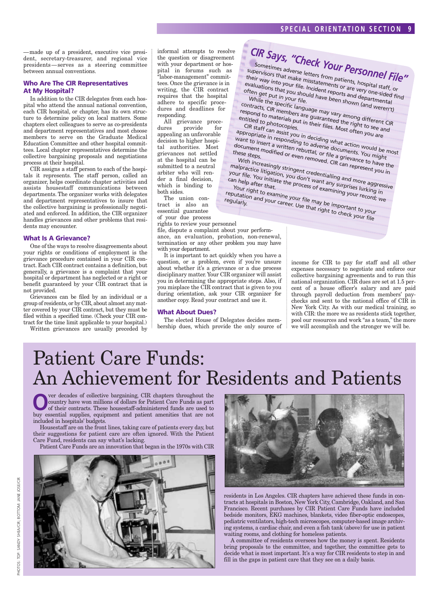—made up of a president, executive vice president, secretary-treasurer, and regional vice presidents—serves as a steering committee between annual conventions.

#### **Who Are The CIR Representatives At My Hospital?**

In addition to the CIR delegates from each hospital who attend the annual national convention, each CIR hospital, or chapter, has its own structure to determine policy on local matters. Some chapters elect colleagues to serve as co-presidents and department representatives and most choose members to serve on the Graduate Medical Education Committee and other hospital committees. Local chapter representatives determine the collective bargaining proposals and negotiations process at their hospital.

CIR assigns a staff person to each of the hospitals it represents. The staff person, called an organizer, helps coordinate chapter activities and assists housestaff communications between departments. The organizer works with delegates and department representatives to insure that the collective bargaining is professionally negotiated and enforced. In addition, the CIR organizer handles grievances and other problems that residents may encounter.

#### **What Is A Grievance?**

One of the ways to resolve disagreements about your rights or conditions of employment is the grievance procedure contained in your CIR contract. Each CIR contract contains a definition, but generally, a grievance is a complaint that your hospital or department has neglected or a right or benefit guaranteed by your CIR contract that is not provided.

Grievances can be filed by an individual or a group of residents, or by CIR, about almost any matter covered by your CIR contract, but they must be filed within a specified time. (Check your CIR contract for the time limit applicable to your hospital.)

Written grievances are usually preceded by

informal attempts to resolve the question or disagreement with your department or hospital in forums such as "labor-management" committees. Once the grievance is in writing, the CIR contract requires that the hospital adhere to specific procedures and deadlines for responding.

All grievance procedures provide for appealing an unfavorable decision to higher hospital authorities. Most grievances not settled at the hospital can be submitted to a neutral arbiter who will render a final decision, which is binding to both sides.

The union contract is also an essential guarantee of your due process

rights to review your personnel

file, dispute a complaint about your performance, an evaluation, probation, non-renewal, termination or any other problem you may have with your department.

It is important to act quickly when you have a question, or a problem, even if you're unsure about whether it's a grievance or a due process disciplinary matter. Your CIR organizer will assist you in determining the appropriate steps. Also, if you misplace the CIR contract that is given to you during orientation, ask your CIR organizer for another copy. Read your contract and use it.

#### **What About Dues?**

The elected House of Delegates decides membership dues, which provide the only source of

*CIR Says,*

*"Check Your Personnel File"* Sometimes adverse letters from patients, hospital staff, or<br>their way into your file. Incidements or are very one-sided fir<br>evaluations that you should have peorts and departmental supervisors that make misstatements or are very one-sided find their way into your file. Incident reports and departments<br>
evaluations that you should have been shown (a) the species<br>
While the special state. evaluations that you should have been shown (and weren't) While the specific language may vary among different CIR<br>respond to materials put in their files Maximum to see and<br>entitled to photosing put in their files Maximum to see and contracts, CIR members are guaranteed the right to see and respond to materials put in their vary among different<br>Positiled to materials put in their files. Most often to see a<br>CIR staff can assist you in decity. Most often you are<br>Poropriate in resolution in decity. entitled to photorials purified to photocopies. CIR staff can assist you in deciding what action would be most<br>want to insert a written rebuttal, or file a documents. Yould be most<br>document modified or evan the a grieve. You might appropriate in responding to adverse documents. You might appropriate in responding to adverse documents, you imgite want to insert a written rebuttal, or file a grievance to have the document modified or even rehuted, or file a grievance to have these steps.<br>these steps.<br>With increasingly stringent credent: CIR can represent you in<br>lalpractice litigation of the credent: while the present you in these steps. With increasingly stringent credentialling and more aggressive<br>alpractice litigation, you don't want any sand more aggressive<br>thelp after that, the process of example in file. You in help after that,

malpractice litigation, you don't want and represent you<br>our file. You initiate the process of examining and more aggres<br>an help after that.<br>Your right to examing in the process of examining your surking in The process of examining your record; we were a subset of examining your record; we ca Y n h <sup>1el</sup>p after that.<br><sup>Ur right</sub></sup> The plantar that the examine your file may be important to your

reputation and your career. Use that right to check your file<br>"egularly." And your career. Use that right to check your file<br>"egularly." Career. Use that right to check your file regularly.

income for CIR to pay for staff and all other expenses necessary to negotiate and enforce our collective bargaining agreements and to run this national organization. CIR dues are set at 1.5 percent of a house officer's salary and are paid through payroll deduction from members' paychecks and sent to the national office of CIR in New York City. As with our medical training, so with CIR: the more we as residents stick together, pool our resources and work "as a team," the more we will accomplish and the stronger we will be.

## Patient Care Funds: An Achievement for Residents and Patients

**O**ver decades of collective bargaining, CIR chapters throughout the<br>country have won millions of dollars for Patient Care Funds as part<br>of their contracts. These housestaff-administered funds are used to<br>buy essential aux country have won millions of dollars for Patient Care Funds as part buy essential supplies, equipment and patient amenities that are not included in hospitals' budgets.

Housestaff are on the front lines, taking care of patients every day, but their suggestions for patient care are often ignored. With the Patient Care Fund, residents can say what's lacking.

Patient Care Funds are an innovation that began in the 1970s with CIR





residents in Los Angeles. CIR chapters have achieved these funds in contracts at hospitals in Boston, New York City, Cambridge, Oakland, and San Francisco. Recent purchases by CIR Patient Care Funds have included bedside monitors, EKG machines, blankets, video fiber-optic endoscopes, pediatric ventilators, high-tech microscopes, computer-based image archiving systems, a cardiac chair, and even a fish tank (above) for use in patient waiting rooms, and clothing for homeless patients.

A committee of residents oversees how the money is spent. Residents bring proposals to the committee, and together, the committee gets to decide what is most important. It's a way for CIR residents to step in and fill in the gaps in patient care that they see on a daily basis.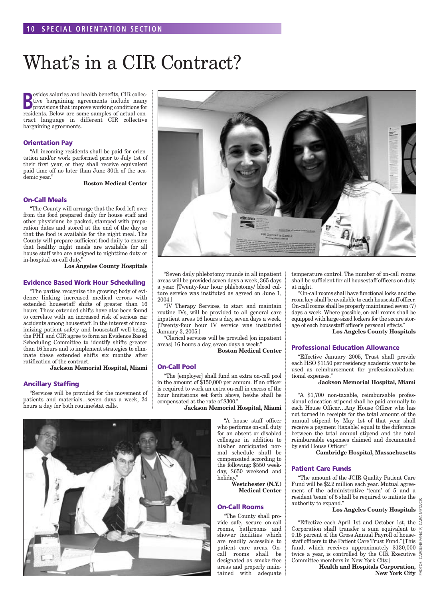# What's in a CIR Contract?

**B**esides salaries and health benefits, CIR collective bargaining agreements include many provisions that improve working conditions for **Example 3** esides salaries and health benefits, CIR collective bargaining agreements include many residents. Below are some samples of actual contract language in different CIR collective bargaining agreements.

#### **Orientation Pay**

"All incoming residents shall be paid for orientation and/or work performed prior to July 1st of their first year, or they shall receive equivalent paid time off no later than June 30th of the academic year."

**Boston Medical Center**

#### **On-Call Meals**

"The County will arrange that the food left over from the food prepared daily for house staff and other physicians be packed, stamped with preparation dates and stored at the end of the day so that the food is available for the night meal. The County will prepare sufficient food daily to ensure that healthy night meals are available for all house staff who are assigned to nighttime duty or in-hospital on-call duty."

**Los Angeles County Hospitals**

#### **Evidence Based Work Hour Scheduling**

"The parties recognize the growing body of evidence linking increased medical errors with extended housestaff shifts of greater than 16 hours. These extended shifts have also been found to correlate with an increased risk of serious car accidents among housestaff. In the interest of maximizing patient safety and housestaff well-being, the PHT and CIR agree to form an Evidence Based Scheduling Committee to identify shifts greater than 16 hours and to implement strategies to eliminate these extended shifts six months after ratification of the contract.

**Jackson Memorial Hospital, Miami**

#### **Ancillary Staffing**

"Services will be provided for the movement of patients and materials…seven days a week, 24 hours a day for both routine/stat calls.



"Seven daily phlebotomy rounds in all inpatient areas will be provided seven days a week, 365 days a year. [Twenty-four hour phlebotomy/ blood culture service was instituted as agreed on June 1, 2004.]

"IV Therapy Services, to start and maintain routine IVs, will be provided to all general care inpatient areas 16 hours a day, seven days a week. [Twenty-four hour IV service was instituted January 3, 2005.]

"Clerical services will be provided [on inpatient areas] 16 hours a day, seven days a week."

**Boston Medical Center**

#### **On-Call Pool**

"The [employer] shall fund an extra on-call pool in the amount of \$150,000 per annum. If an officer is required to work an extra on-call in excess of the hour limitations set forth above, he/she shall be compensated at the rate of \$300."

#### **Jackson Memorial Hospital, Miami**

"A house staff officer who performs on-call duty for an absent or disabled colleague in addition to his/her anticipated normal schedule shall be compensated according to the following: \$550 weekday, \$650 weekend and holiday."

> **Westchester (N.Y.) Medical Center**

#### **On-Call Rooms**

"The County shall provide safe, secure on-call rooms, bathrooms and shower facilities which are readily accessible to patient care areas. Oncall rooms shall be designated as smoke-free areas and properly maintained with adequate temperature control. The number of on-call rooms shall be sufficient for all housestaff officers on duty at night.

"On-call rooms shall have functional locks and the room key shall be available to each housestaff officer. On-call rooms shall be properly maintained seven (7) days a week. Where possible, on-call rooms shall be equipped with large-sized lockers for the secure storage of each housestaff officer's personal effects."

**Los Angeles County Hospitals**

#### **Professional Education Allowance**

"Effective January 2005, Trust shall provide each HSO \$1150 per residency academic year to be used as reimbursement for professional/educational expenses."

#### **Jackson Memorial Hospital, Miami**

"A \$1,700 non-taxable, reimbursable professional education stipend shall be paid annually to each House Officer…Any House Officer who has not turned in receipts for the total amount of the annual stipend by May 1st of that year shall receive a payment (taxable) equal to the difference between the total annual stipend and the total reimbursable expenses claimed and documented by said House Officer."

**Cambridge Hospital, Massachusetts**

#### **Patient Care Funds**

"The amount of the JCIR Quality Patient Care Fund will be \$2.2 million each year. Mutual agreement of the administrative 'team' of 5 and a resident 'team' of 5 shall be required to initiate the authority to expand."

#### **Los Angeles County Hospitals**

PHOTOS: CAROLINE FAN/CIR; CARA METZ/CIR

"Effective each April 1st and October 1st, the Corporation shall transfer a sum equivalent to 0.15 percent of the Gross Annual Payroll of housestaff officers to the Patient Care Trust Fund." [This fund, which receives approximately \$130,000 twice a year, is controlled by the CIR Executive Committee members in New York City.]

**Health and Hospitals Corporation, New York City**  $\sum_{n=1}^{\infty}$ 

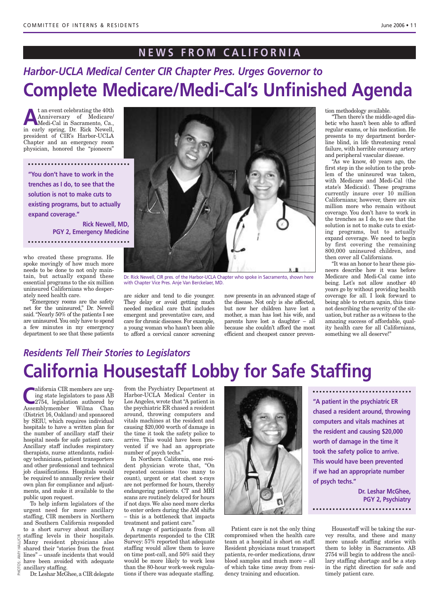### **NEWS FROM CALIFORNIA**

### *Harbor-UCLA Medical Center CIR Chapter Pres. Urges Governor to* **Complete Medicare/Medi-Cal's Unfinished Agenda**

**A**t an event celebrating the 40th<br>Anniversary of Medicare/<br>Medi-Cal in Sacramento, Ca.,<br>in eventually prince Dr. Bisk Nowell Anniversary of Medicare/ Medi-Cal in Sacramento, Ca., in early spring, Dr. Rick Newell, president of CIR's Harbor-UCLA Chapter and an emergency room physician, honored the "pioneers"

**"You don't have to work in the trenches as I do, to see that the solution is not to make cuts to existing programs, but to actually expand coverage."** 

> **Rick Newell, MD, PGY 2, Emergency Medicine**

who created these programs. He spoke movingly of how much more needs to be done to not only maintain, but actually expand these essential programs to the six million uninsured Californians who desperately need health care.

"Emergency rooms are the safety net for the uninsured," Dr. Newell said. "Nearly 50% of the patients I see are uninsured.You only have to spend a few minutes in my emergency department to see that these patients



Dr. Rick Newell, CIR pres. of the Harbor-UCLA Chapter who spoke in Sacramento, shown here with Chapter Vice Pres. Anje Van Berckelaer, MD.

are sicker and tend to die younger. They delay or avoid getting much needed medical care that includes emergent and preventative care, and care for chronic diseases.For example, a young woman who hasn't been able to afford a cervical cancer screening

now presents in an advanced stage of the disease. Not only is she affected, but now her children have lost a mother, a man has lost his wife, and parents have lost a daughter – all because she couldn't afford the most efficient and cheapest cancer prevention methodology available.

"Then there's the middle-aged diabetic who hasn't been able to afford regular exams, or his medication. He presents to my department borderline blind, in life threatening renal failure, with horrible coronary artery and peripheral vascular disease.

"As we know, 40 years ago, the first step in the solution to the problem of the uninsured was taken, with Medicare and Medi-Cal (the state's Medicaid). These programs currently insure over 10 million Californians; however, there are six million more who remain without coverage. You don't have to work in the trenches as I do, to see that the solution is not to make cuts to existing programs, but to actually expand coverage. We need to begin by first covering the remaining 800,000 uninsured children, and then cover all Californians.

"It was an honor to hear these pioneers describe how it was before Medicare and Medi-Cal came into being. Let's not allow another 40 years go by without providing health coverage for all. I look forward to being able to return again, this time not describing the severity of the situation, but rather as a witness to the amazing success of affordable, quality health care for all Californians, something we all deserve!"

### *Residents Tell Their Stories to Legislators* **California Housestaff Lobby for Safe Staffing**

**California CIR members are urg-<br>
2754, legislation authored by<br>
Assemblymember Wilma Chan** ing state legislators to pass AB Assemblymember Wilma Chan (District 16, Oakland) and sponsored by SEIU, which requires individual hospitals to have a written plan for the number of ancillary staff their hospital needs for safe patient care. Ancillary staff includes respiratory therapists, nurse attendants, radiology technicians, patient transporters and other professional and technical job classifications. Hospitals would be required to annually review their own plan for compliance and adjustments, and make it available to the public upon request.

To help inform legislators of the urgent need for more ancillary staffing, CIR members in Northern and Southern California responded to a short survey about ancillary staffing levels in their hospitals. Many resident physicians also

shared their "stories from the front lines" – unsafe incidents that would have been avoided with adequate

ancillary staffing. Dr.Leshar McGhee, a CIR delegate

from the Psychiatry Department at Harbor-UCLA Medical Center in Los Angeles, wrote that "A patient in the psychiatric ER chased a resident around, throwing computers and vitals machines at the resident and causing \$20,000 worth of damage in the time it took the safety police to arrive. This would have been prevented if we had an appropriate number of psych techs."

In Northern California, one resident physician wrote that, "On repeated occasions (too many to count), urgent or stat chest x-rays are not performed for hours, thereby endangering patients. CT and MRI scans are routinely delayed for hours if not days. We also need more clerks to enter orders during the AM shifts – this is a bottleneck that impacts treatment and patient care."

A range of participants from all departments responded to the CIR Survey: 57% reported that adequate staffing would allow them to leave on time post-call, and 50% said they would be more likely to work less than the 80-hour work-week regulations if there was adequate staffing.



Patient care is not the only thing compromised when the health care team at a hospital is short on staff. Resident physicians must transport patients, re-order medications, draw blood samples and much more – all of which take time away from residency training and education.

**"A patient in the psychiatric ER chased a resident around, throwing computers and vitals machines at the resident and causing \$20,000 worth of damage in the time it took the safety police to arrive. This would have been prevented if we had an appropriate number of psych techs."**

> **Dr. Leshar McGhee, PGY 2, Psychiatry**

Housestaff will be taking the survey results, and these and many more unsafe staffing stories with them to lobby in Sacramento. AB 2754 will begin to address the ancillary staffing shortage and be a step in the right direction for safe and timely patient care.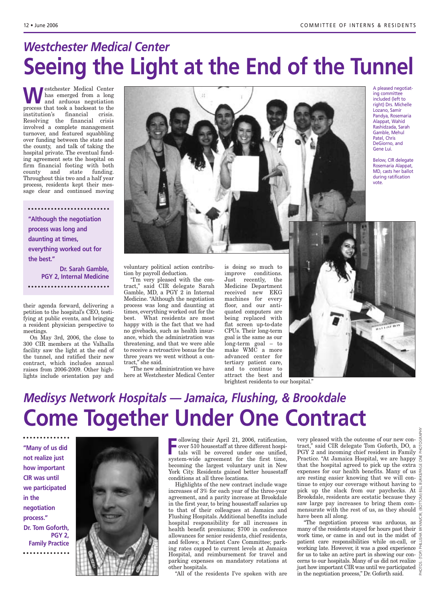## *Westchester Medical Center* **Seeing the Light at the End of the Tunnel**

**W**estchester Medical Center<br>and arduous negotiation<br>precess that took a beckered to the has emerged from a long and arduous negotiation process that took a backseat to the institution's financial crisis. Resolving the financial crisis involved a complete management turnover, and featured squabbling over funding between the state and the county, and talk of taking the hospital private. The eventual funding agreement sets the hospital on firm financial footing with both county and state funding. Throughout this two and a half year process, residents kept their message clear and continued moving

**"Although the negotiation process was long and daunting at times, everything worked out for the best." Dr. Sarah Gamble, PGY 2, Internal Medicine**

their agenda forward, delivering a

petition to the hospital's CEO, testifying at public events, and bringing a resident physician perspective to meetings.

On May 3rd, 2006, the close to 300 CIR members at the Valhalla facility saw the light at the end of the tunnel, and ratified their new contract, which includes annual raises from 2006-2009. Other highlights include orientation pay and



A pleased negotiating committee included (left to right) Drs. Michelle Lozano, Samir Pandya, Rosemaria Alappat, Wahid Rashidzada, Sarah Gamble, Mehul Patel, Chris DeGiorno, and Gene Lui.

Below, CIR delegate Rosemaria Alappat, MD, casts her ballot during ratification vote.

voluntary political action contribution by payroll deduction.

"I'm very pleased with the contract," said CIR delegate Sarah Gamble, MD, a PGY 2 in Internal Medicine. "Although the negotiation process was long and daunting at times, everything worked out for the best. What residents are most happy with is the fact that we had no givebacks, such as health insurance, which the administration was threatening, and that we were able to receive a retroactive bonus for the three years we went without a contract," she said.

"The new administration we have here at Westchester Medical Center is doing so much to improve conditions. Just recently, the Medicine Department received new EKG machines for every floor, and our antiquated computers are being replaced with flat screen up-to-date CPUs. Their long-term goal is the same as our long-term goal – to make WMC a more advanced center for tertiary patient care, and to continue to attract the best and

brightest residents to our hospital."



### *Medisys Network Hospitals — Jamaica, Flushing, & Brookdale*  **Come Together Under One Contract**

**"Many of us did not realize just how important CIR was until we participated in the negotiation process." Dr. Tom Goforth, PGY 2, Family Practice** . . . . . . . . . . . .



**F** ollowing their April 21, 2006, ratification, over 510 housestaff at three different hospitals will be covered under one unified, system-wide agreement for the first time, becoming the largest voluntary unit in New York City. Residents gained better housestaff conditions at all three locations.

Highlights of the new contract include wage increases of 3% for each year of the three-year agreement, and a parity increase at Brookdale in the first year, to bring housestaff salaries up to that of their colleagues at Jamaica and Flushing Hospitals. Additional benefits include hospital responsibility for all increases in health benefit premiums; \$700 in conference allowances for senior residents, chief residents, and fellows; a Patient Care Committee; parking rates capped to current levels at Jamaica Hospital, and reimbursement for travel and parking expenses on mandatory rotations at other hospitals.

"All of the residents I've spoken with are

very pleased with the outcome of our new contract," said CIR delegate Tom Goforth, DO, a PGY 2 and incoming chief resident in Family Practice. "At Jamaica Hospital, we are happy that the hospital agreed to pick up the extra expenses for our health benefits. Many of us are resting easier knowing that we will continue to enjoy our coverage without having to  $\frac{3}{2}$ pick up the slack from our paychecks. At  $\vec{\equiv}$ Brookdale, residents are ecstatic because they  $\widehat{\tilde{z}}$ saw large pay increases to bring them commensurate with the rest of us, as they should  $\frac{5}{9}$ have been all along.

PHOTOS: (TOP) PHILLISHA BRYAN/CIR; (BOTTOM) BILL BURKE/PAGE ONE PHOTOGRAPHY

"The negotiation process was arduous, as many of the residents stayed for hours past their work time, or came in and out in the midst of  $\frac{4}{5}$ patient care responsibilities while on-call, or working late. However, it was a good experience for us to take an active part in showing our con-<br>cerns to our hospitals. Many of us did not realize cerns to our hospitals. Many of us did not realize just how important CIR was until we participated in the negotiation process," Dr. Goforth said.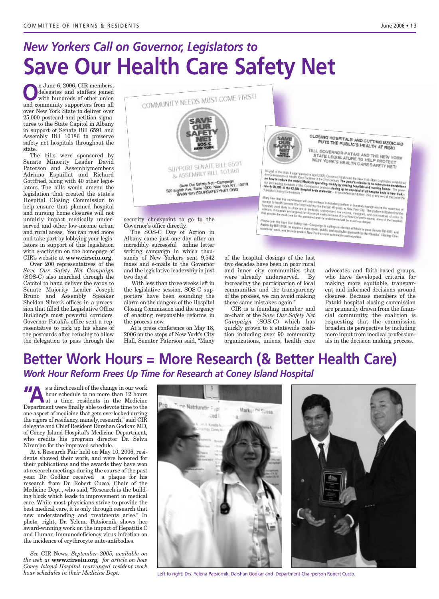# *New Yorkers Call on Governor, Legislators to* **Save Our Health Care Safety Net**

sands of New Yorkers sent 9,542 faxes and e-mails to the Governor and the legislative leadership in just

With less than three weeks left in the legislative session, SOS-C supporters have been sounding the alarm on the dangers of the Hospital Closing Commission and the urgency of enacting responsible reforms in

At a press conference on May 18, 2006 on the steps of New York's City Hall, Senator Paterson said, "Many

two days!

the process now.

**O**n June 6, 2006, CIR members,<br>delegates and staffers joined<br>with hundreds of other union delegates and staffers joined with hundreds of other union and community supporters from all over New York State to deliver over 25,000 postcard and petition signatures to the State Capitol in Albany in support of Senate Bill 6591 and Assembly Bill 10186 to preserve safety net hospitals throughout the state.

The bills were sponsored by Senate Minority Leader David Paterson and Assemblymembers Adriano Espaillat and Richard Gottfried, along with 40 other legislators. The bills would amend the legislation that created the state's Hospital Closing Commission to help ensure that planned hospital and nursing home closures will not unfairly impact medically underserved and other low-income urban and rural areas. You can read more and take part by lobbying your legislators in support of this legislation with e-activism on the homepage of CIR's website at **www.cirseiu.org**.

Over 200 representatives of the *Save Our Safety Net Campaign* (SOS-C) also marched through the Capitol to hand deliver the cards to Senate Majority Leader Joseph Bruno and Assembly Speaker Sheldon Silver's offices in a procession that filled the Legislative Office Building's most powerful corridors. Governor Pataki's office sent a representative to pick up his share of the postcards after refusing to allow the delegation to pass through the



of the hospital closings of the last two decades have been in poor rural and inner city communities that were already underserved. By increasing the participation of local communities and the transparency of the process, we can avoid making these same mistakes again."

CIR is a founding member and co-chair of the *Save Our Safety Net Campaign* (SOS-C) which has quickly grown to a statewide coalition including over 90 community organizations, unions, health care advocates and faith-based groups, who have developed criteria for making more equitable, transparent and informed decisions around closures. Because members of the Pataki hospital closing commission are primarily drawn from the financial community, the coalition is requesting that the commission broaden its perspective by including more input from medical professionals in the decision making process.

### **Better Work Hours = More Research (& Better Health Care)** *Work Hour Reform Frees Up Time for Research at Coney Island Hospital*

<sup>s</sup> a direct result of the change in our work<br>hour schedule to no more than 12 hours<br>at a time, residents in the Medicine hour schedule to no more than 12 hours at a time, residents in the Medicine Department were finally able to devote time to the one aspect of medicine that gets overlooked during the rigors of residency, namely, research," said CIR delegate and Chief Resident Darshan Godkar, MD, of Coney Island Hospital's Medicine Department, who credits his program director Dr. Selva Niranjan for the improved schedule.

At a Research Fair held on May 10, 2006, residents showed their work, and were honored for their publications and the awards they have won at research meetings during the course of the past year. Dr. Godkar received a plaque for his research from Dr. Robert Cucco, Chair of the Medicine Dept., who said, "Research is the building block which leads to improvement in medical care. While most physicians strive to provide the best medical care, it is only through research that new understanding and treatments arise." In photo, right, Dr. Yelena Patsiornik shows her award-winning work on the impact of Hepatitis C and Human Immunodeficiency virus infection on the incidence of erythrocyte auto-antibodies.

*See* CIR News*, September 2005, available on the web at* **www.cirseiu.org***, for article on how Coney Island Hospital rearranged resident work hour schedules in their Medicine Dept.*



Left to right: Drs. Yelena Patsiornik, Darshan Godkar and Department Chairperson Robert Cucco.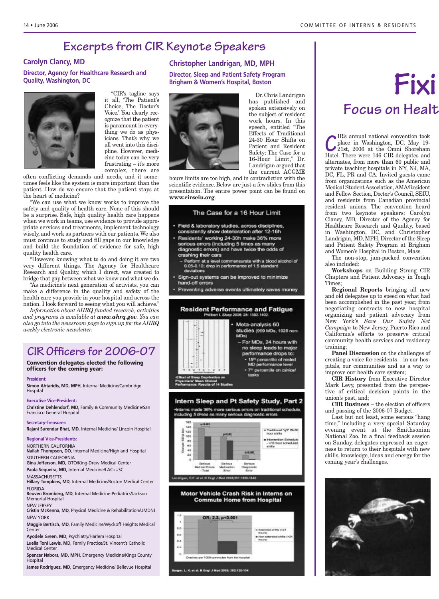### **Excerpts from CIR Keynote Speakers**

#### **Carolyn Clancy, MD**

**Director, Agency for Healthcare Research and Quality, Washington, DC**



"CIR's tagline says it all, 'The Patient's Choice, The Doctor's Voice.' You clearly recognize that the patient is paramount in everything we do as physicians. That's why we all went into this discipline. However, medicine today can be very frustrating – it's more complex, there are

often conflicting demands and needs, and it sometimes feels like the system is more important than the patient. How do we ensure that the patient stays at the heart of medicine?

"We can use what we know works to improve the safety and quality of health care. None of this should be a surprise. Safe, high quality health care happens when we work in teams, use evidence to provide appropriate services and treatments, implement technology wisely, and work as partners with our patients. We also must continue to study and fill gaps in our knowledge and build the foundation of evidence for safe, high quality health care.

"However, knowing what to do and doing it are two very different things. The Agency for Healthcare Research and Quality, which I direct, was created to bridge that gap between what we know and what we do.

"As medicine's next generation of activists, you can make a difference in the quality and safety of the health care you provide in your hospital and across the nation. I look forward to seeing what you will achieve."

*Information about AHRQ funded research, activities and programs is available at www.ahrq.gov. You can also go into the newsroom page to sign up for the AHRQ weekly electronic newsletter.*

### **CIR Officers for 2006-07**

**Convention delegates elected the following officers for the coming year:**

#### **President:**

**Simon Ahtaridis, MD, MPH**, Internal Medicine/Cambridge Hospital

#### **Executive Vice-President:**

**Christine Dehlendorf, MD**, Family & Community Medicine/San Francisco General Hospital

#### **Secretary-Treasurer: Rajani Surendar Bhat, MD**, Internal Medicine/ Lincoln Hospital

**Regional Vice-Presidents:** 

#### NORTHERN CALIFORNIA

**Nailah Thompson, DO**, Internal Medicine/Highland Hospital SOUTHERN CALIFORNIA

**Gina Jefferson, MD**, OTO/King-Drew Medical Center

**Paola Sequeira, MD**, Internal Medicine/LAC+USC MASSACHUSETTS

**Hillary Tompkins, MD**, Internal Medicine/Boston Medical Center **FLORIDA** 

**Reuven Bromberg, MD**, Internal Medicine-Pediatrics/Jackson Memorial Hospital

NEW JERSEY

**Cristin McKenna, MD**, Physical Medicine & Rehabilitation/UMDNJ NEW YORK

**Maggie Bertisch, MD**, Family Medicine/Wyckoff Heights Medical **Center** 

**Ayodele Green, MD**, Psychiatry/Harlem Hospital **Luella Toni Lewis, MD**, Family Practice/St. Vincent's Catholic

Medical Center **Spencer Nabors, MD, MPH**, Emergency Medicine/Kings County

**Hospital James Rodriguez, MD**, Emergency Medicine/ Bellevue Hospital

#### **Christopher Landrigan, MD, MPH**

**Director, Sleep and Patient Safety Program Brigham & Women's Hospital, Boston**



16-Hour Limit," Dr. Landrigan argued that the current ACGME hours limits are too high, and in contradiction with the scientific evidence. Below are just a few slides from this presentation. The entire power point can be found on **www.cirseiu.org**.

Dr. Chris Landrigan has published and spoken extensively on the subject of resident work hours. In this speech, entitled "The Effects of Traditional 24-30 Hour Shifts on Patient and Resident Safety: The Case for a

#### The Case for a 16 Hour Limit

- Field & laboratory studies, across disciplines, consistently show deterioration after 12-16h
- Residents' working 24-30h make 36% more serious errors (including 5 times as many
- diagnostic errors) and have twice the odds of crashing their cars Perform at a level commensurate with a blood alcohol of
- 0.05-0.10; drop in performance of 1.5 standard deviations
- Sign-out systems can be improved to minimize hand-off errors
- Preventing adverse events ultimately saves money



#### Intern Sleep and Pt Safety Study, Part 2 -Interns made 36% more serious errors on traditional schedule,

including 5 times as many serious diagnostic errors







# **Fixi ng the Practice of Medicine Focus on Healt**

**C**IR's annual national convention took<br>place in Washington, DC, May 19-<br>21st, 2006 at the Omni Shoreham<br>Hotel. There were 146 CIR delegates and place in Washington, DC, May 19- 21st, 2006 at the Omni Shoreham Hotel. There were 146 CIR delegates and alternates, from more than 60 public and private teaching hospitals in NY, NJ, MA, DC, FL, PR and CA. Invited guests came from organizations such as the American Medical Student Association,AMA/Resident and Fellow Section, Doctor's Council, SEIU, and residents from Canadian provincial resident unions. The convention heard from two keynote speakers: Carolyn Clancy, MD, Director of the Agency for Healthcare Research and Quality, based in Washington, DC, and Christopher Landrigan, MD, MPH, Director of the Sleep and Patient Safety Program at Brigham and Women's Hospital in Boston, Mass.

The non-stop, jam-packed convention also included:

**Workshops** on Building Strong CIR Chapters and Patient Advocacy in Tough Times;

**Regional Reports** bringing all new and old delegates up to speed on what had been accomplished in the past year, from negotiating contracts to new hospital organizing and patient advocacy from New York's *Save Our Safety Net Campaign* to New Jersey, Puerto Rico and California's efforts to preserve critical community health services and residency training;

**Panel Discussion** on the challenges of creating a voice for residents – in our hospitals, our communities and as a way to improve our health care system;

**CIR History** from Executive Director Mark Levy, presented from the perspective of critical decision points in the union's past, and;

**CIR Business** – the election of officers and passing of the 2006-07 Budget.

Last but not least, some serious "hang time," including a very special Saturday evening event at the Smithsonian National Zoo. In a final feedback session on Sunday, delegates expressed an eagerness to return to their hospitals with new skills, knowledge, ideas and energy for the coming year's challenges.

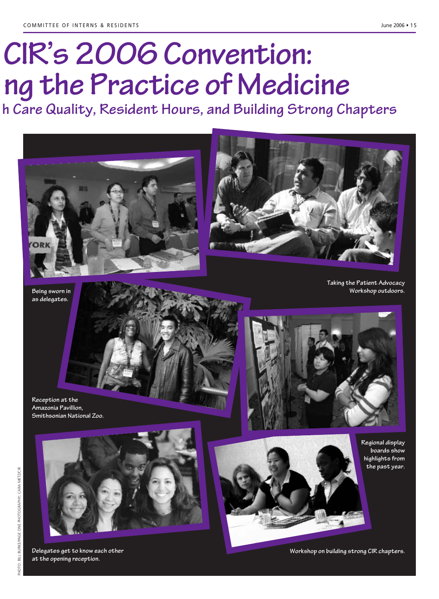# **CIR's 2006 Convention: xi ng the Practice of Medicine**

**lt h Care Quality, Resident Hours, and Building Strong Chapters**



**Being sworn in as delegates.**

**Reception at the Amazonia Pavillion,** 

**Smithsonian National Zoo.**







**Regional display boards show highlights from the past year.**

**Delegates get to know each other at the opening reception.**